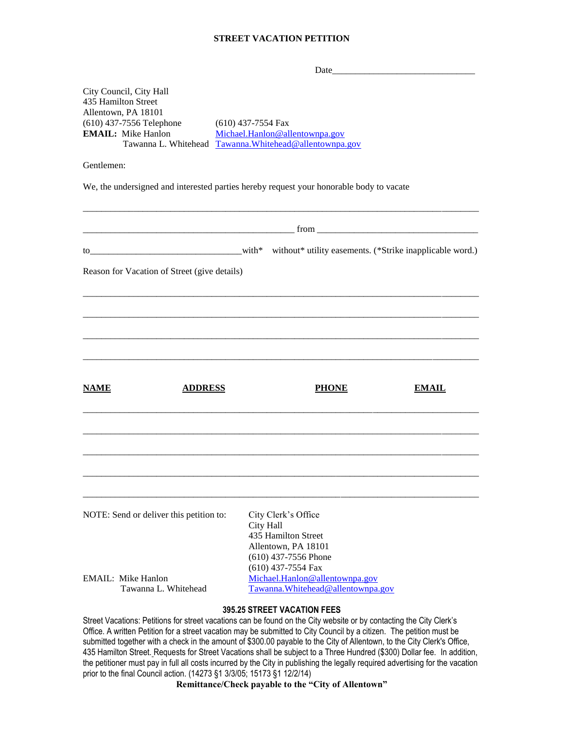#### **STREET VACATION PETITION**

| City Council, City Hall<br>435 Hamilton Street<br>Allentown, PA 18101<br>(610) 437-7556 Telephone<br><b>EMAIL:</b> Mike Hanlon | $(610)$ 437-7554 Fax<br>Michael.Hanlon@allentownpa.gov<br>Tawanna L. Whitehead Tawanna. Whitehead@allentownpa.gov      |
|--------------------------------------------------------------------------------------------------------------------------------|------------------------------------------------------------------------------------------------------------------------|
| Gentlemen:                                                                                                                     |                                                                                                                        |
|                                                                                                                                | We, the undersigned and interested parties hereby request your honorable body to vacate                                |
|                                                                                                                                |                                                                                                                        |
| $\text{tot}^*$ with $\text{*}$                                                                                                 | without* utility easements. (*Strike inapplicable word.)                                                               |
| Reason for Vacation of Street (give details)                                                                                   |                                                                                                                        |
|                                                                                                                                |                                                                                                                        |
|                                                                                                                                |                                                                                                                        |
|                                                                                                                                |                                                                                                                        |
|                                                                                                                                |                                                                                                                        |
| <b>NAME</b><br><b>ADDRESS</b>                                                                                                  | <b>PHONE</b><br><b>EMAIL</b>                                                                                           |
|                                                                                                                                |                                                                                                                        |
| NOTE: Send or deliver this petition to:                                                                                        | City Clerk's Office<br>City Hall<br>435 Hamilton Street<br>Allentown, PA 18101                                         |
| EMAIL: Mike Hanlon<br>Tawanna L. Whitehead                                                                                     | $(610)$ 437-7556 Phone<br>$(610)$ 437-7554 Fax<br>Michael.Hanlon@allentownpa.gov<br>Tawanna. Whitehead@allentownpa.gov |

### **395.25 STREET VACATION FEES**

Street Vacations: Petitions for street vacations can be found on the City website or by contacting the City Clerk's Office. A written Petition for a street vacation may be submitted to City Council by a citizen. The petition must be submitted together with a check in the amount of \$300.00 payable to the City of Allentown, to the City Clerk's Office, 435 Hamilton Street. Requests for Street Vacations shall be subject to a Three Hundred (\$300) Dollar fee. In addition, the petitioner must pay in full all costs incurred by the City in publishing the legally required advertising for the vacation prior to the final Council action. (14273 §1 3/3/05; 15173 §1 12/2/14)

**Remittance/Check payable to the "City of Allentown"**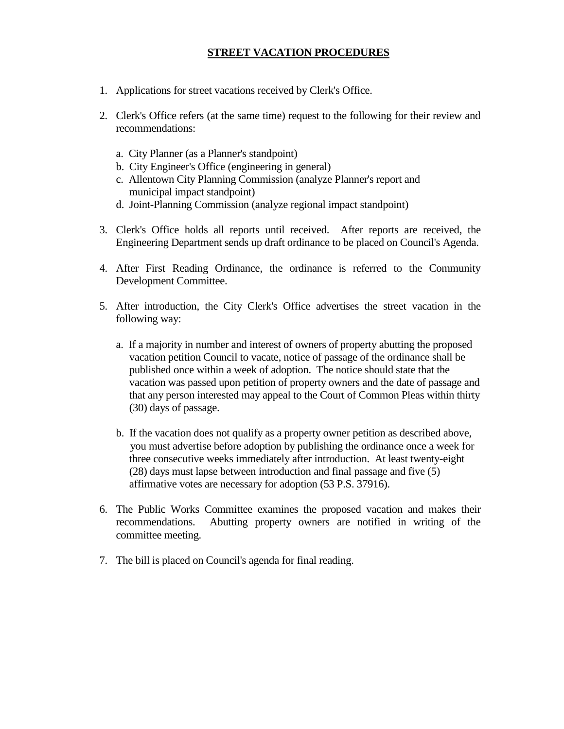# **STREET VACATION PROCEDURES**

- 1. Applications for street vacations received by Clerk's Office.
- 2. Clerk's Office refers (at the same time) request to the following for their review and recommendations:
	- a. City Planner (as a Planner's standpoint)
	- b. City Engineer's Office (engineering in general)
	- c. Allentown City Planning Commission (analyze Planner's report and municipal impact standpoint)
	- d. Joint-Planning Commission (analyze regional impact standpoint)
- 3. Clerk's Office holds all reports until received. After reports are received, the Engineering Department sends up draft ordinance to be placed on Council's Agenda.
- 4. After First Reading Ordinance, the ordinance is referred to the Community Development Committee.
- 5. After introduction, the City Clerk's Office advertises the street vacation in the following way:
	- a. If a majority in number and interest of owners of property abutting the proposed vacation petition Council to vacate, notice of passage of the ordinance shall be published once within a week of adoption. The notice should state that the vacation was passed upon petition of property owners and the date of passage and that any person interested may appeal to the Court of Common Pleas within thirty (30) days of passage.
	- b. If the vacation does not qualify as a property owner petition as described above, you must advertise before adoption by publishing the ordinance once a week for three consecutive weeks immediately after introduction. At least twenty-eight (28) days must lapse between introduction and final passage and five (5) affirmative votes are necessary for adoption (53 P.S. 37916).
- 6. The Public Works Committee examines the proposed vacation and makes their recommendations. Abutting property owners are notified in writing of the committee meeting.
- 7. The bill is placed on Council's agenda for final reading.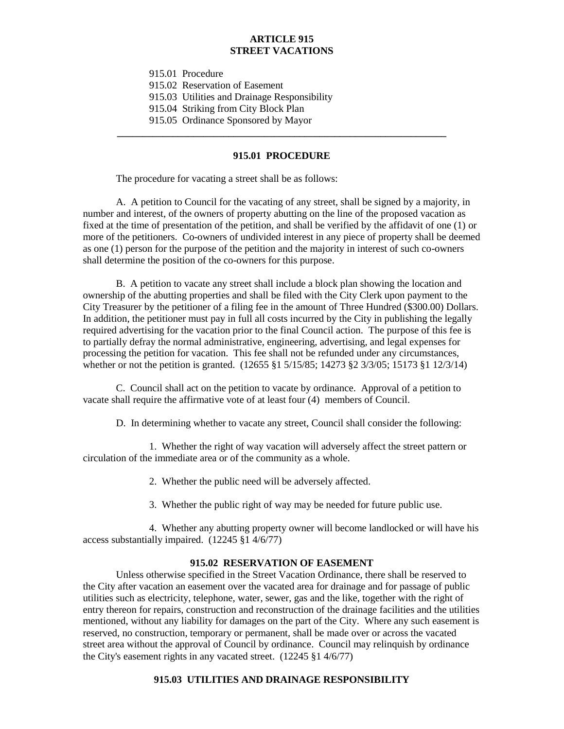## **ARTICLE 915 STREET VACATIONS**

915.01 Procedure

915.02 Reservation of Easement

915.03 Utilities and Drainage Responsibility

915.04 Striking from City Block Plan

915.05 Ordinance Sponsored by Mayor

#### **915.01 PROCEDURE**

**\_\_\_\_\_\_\_\_\_\_\_\_\_\_\_\_\_\_\_\_\_\_\_\_\_\_\_\_\_\_\_\_\_\_\_\_\_\_\_\_\_\_\_\_\_\_\_\_\_\_\_\_\_\_\_\_\_\_\_\_\_\_\_\_\_**

The procedure for vacating a street shall be as follows:

A. A petition to Council for the vacating of any street, shall be signed by a majority, in number and interest, of the owners of property abutting on the line of the proposed vacation as fixed at the time of presentation of the petition, and shall be verified by the affidavit of one (1) or more of the petitioners. Co-owners of undivided interest in any piece of property shall be deemed as one (1) person for the purpose of the petition and the majority in interest of such co-owners shall determine the position of the co-owners for this purpose.

B. A petition to vacate any street shall include a block plan showing the location and ownership of the abutting properties and shall be filed with the City Clerk upon payment to the City Treasurer by the petitioner of a filing fee in the amount of Three Hundred (\$300.00) Dollars. In addition, the petitioner must pay in full all costs incurred by the City in publishing the legally required advertising for the vacation prior to the final Council action. The purpose of this fee is to partially defray the normal administrative, engineering, advertising, and legal expenses for processing the petition for vacation. This fee shall not be refunded under any circumstances, whether or not the petition is granted. (12655 §1 5/15/85; 14273 §2 3/3/05; 15173 §1 12/3/14)

C. Council shall act on the petition to vacate by ordinance. Approval of a petition to vacate shall require the affirmative vote of at least four (4) members of Council.

D. In determining whether to vacate any street, Council shall consider the following:

1. Whether the right of way vacation will adversely affect the street pattern or circulation of the immediate area or of the community as a whole.

2. Whether the public need will be adversely affected.

3. Whether the public right of way may be needed for future public use.

4. Whether any abutting property owner will become landlocked or will have his access substantially impaired. (12245 §1 4/6/77)

## **915.02 RESERVATION OF EASEMENT**

Unless otherwise specified in the Street Vacation Ordinance, there shall be reserved to the City after vacation an easement over the vacated area for drainage and for passage of public utilities such as electricity, telephone, water, sewer, gas and the like, together with the right of entry thereon for repairs, construction and reconstruction of the drainage facilities and the utilities mentioned, without any liability for damages on the part of the City. Where any such easement is reserved, no construction, temporary or permanent, shall be made over or across the vacated street area without the approval of Council by ordinance. Council may relinquish by ordinance the City's easement rights in any vacated street. (12245 §1 4/6/77)

## **915.03 UTILITIES AND DRAINAGE RESPONSIBILITY**